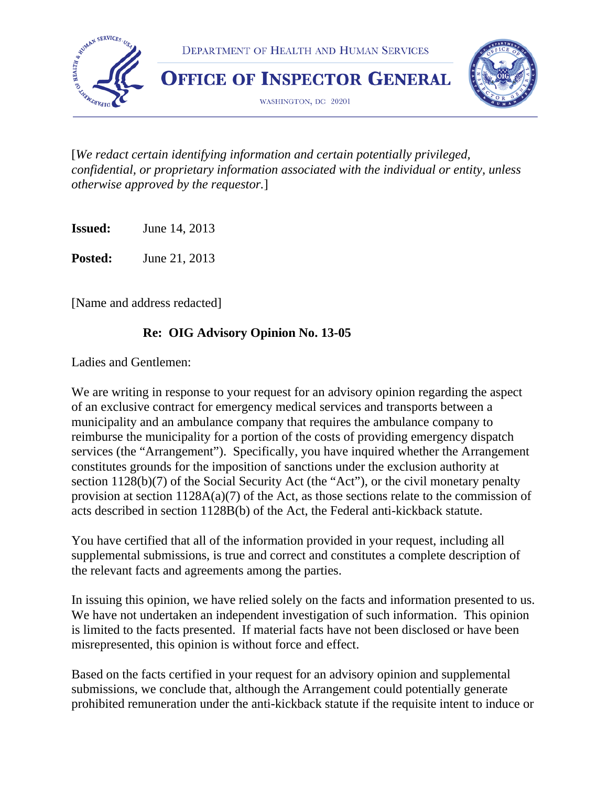

[*We redact certain identifying information and certain potentially privileged, confidential, or proprietary information associated with the individual or entity, unless otherwise approved by the requestor.*]

**Issued:** June 14, 2013

**Posted:** June 21, 2013

[Name and address redacted]

#### **Re: OIG Advisory Opinion No. 13-05**

Ladies and Gentlemen:

We are writing in response to your request for an advisory opinion regarding the aspect of an exclusive contract for emergency medical services and transports between a municipality and an ambulance company that requires the ambulance company to reimburse the municipality for a portion of the costs of providing emergency dispatch services (the "Arrangement"). Specifically, you have inquired whether the Arrangement constitutes grounds for the imposition of sanctions under the exclusion authority at section 1128(b)(7) of the Social Security Act (the "Act"), or the civil monetary penalty provision at section  $1128A(a)(7)$  of the Act, as those sections relate to the commission of acts described in section 1128B(b) of the Act, the Federal anti-kickback statute.

You have certified that all of the information provided in your request, including all supplemental submissions, is true and correct and constitutes a complete description of the relevant facts and agreements among the parties.

In issuing this opinion, we have relied solely on the facts and information presented to us. We have not undertaken an independent investigation of such information. This opinion is limited to the facts presented. If material facts have not been disclosed or have been misrepresented, this opinion is without force and effect.

Based on the facts certified in your request for an advisory opinion and supplemental submissions, we conclude that, although the Arrangement could potentially generate prohibited remuneration under the anti-kickback statute if the requisite intent to induce or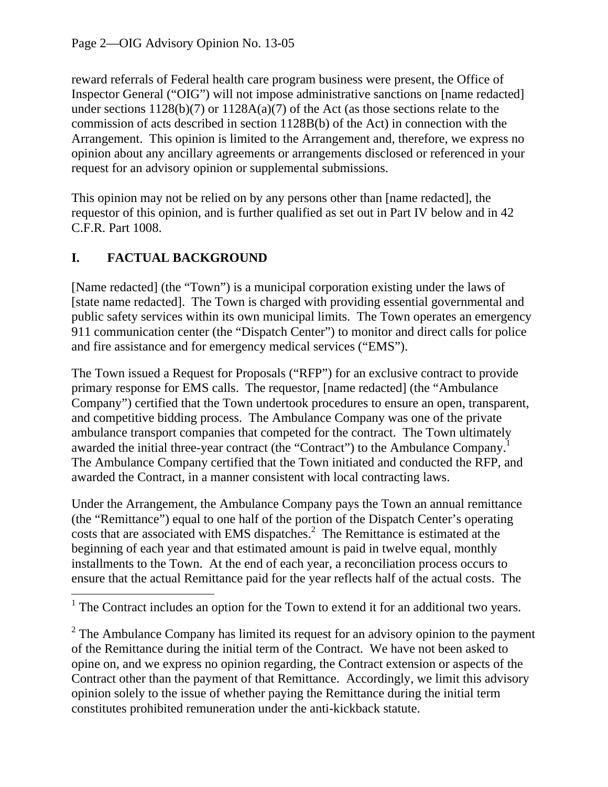request for an advisory opinion or supplemental submissions. reward referrals of Federal health care program business were present, the Office of Inspector General ("OIG") will not impose administrative sanctions on [name redacted] under sections 1128(b)(7) or 1128A(a)(7) of the Act (as those sections relate to the commission of acts described in section 1128B(b) of the Act) in connection with the Arrangement. This opinion is limited to the Arrangement and, therefore, we express no opinion about any ancillary agreements or arrangements disclosed or referenced in your

This opinion may not be relied on by any persons other than [name redacted], the requestor of this opinion, and is further qualified as set out in Part IV below and in 42 C.F.R. Part 1008.

# **I. FACTUAL BACKGROUND**

[Name redacted] (the "Town") is a municipal corporation existing under the laws of [state name redacted]. The Town is charged with providing essential governmental and public safety services within its own municipal limits. The Town operates an emergency 911 communication center (the "Dispatch Center") to monitor and direct calls for police and fire assistance and for emergency medical services ("EMS").

The Town issued a Request for Proposals ("RFP") for an exclusive contract to provide primary response for EMS calls. The requestor, [name redacted] (the "Ambulance Company") certified that the Town undertook procedures to ensure an open, transparent, and competitive bidding process. The Ambulance Company was one of the private ambulance transport companies that competed for the contract. The Town ultimately awarded the initial three-year contract (the "Contract") to the Ambulance Company.<sup>1</sup> The Ambulance Company certified that the Town initiated and conducted the RFP, and awarded the Contract, in a manner consistent with local contracting laws.

Under the Arrangement, the Ambulance Company pays the Town an annual remittance (the "Remittance") equal to one half of the portion of the Dispatch Center's operating costs that are associated with EMS dispatches.<sup>2</sup> The Remittance is estimated at the beginning of each year and that estimated amount is paid in twelve equal, monthly installments to the Town. At the end of each year, a reconciliation process occurs to ensure that the actual Remittance paid for the year reflects half of the actual costs. The

  $<sup>1</sup>$  The Contract includes an option for the Town to extend it for an additional two years.</sup>

 $2^2$  The Ambulance Company has limited its request for an advisory opinion to the payment of the Remittance during the initial term of the Contract. We have not been asked to opine on, and we express no opinion regarding, the Contract extension or aspects of the Contract other than the payment of that Remittance. Accordingly, we limit this advisory opinion solely to the issue of whether paying the Remittance during the initial term constitutes prohibited remuneration under the anti-kickback statute.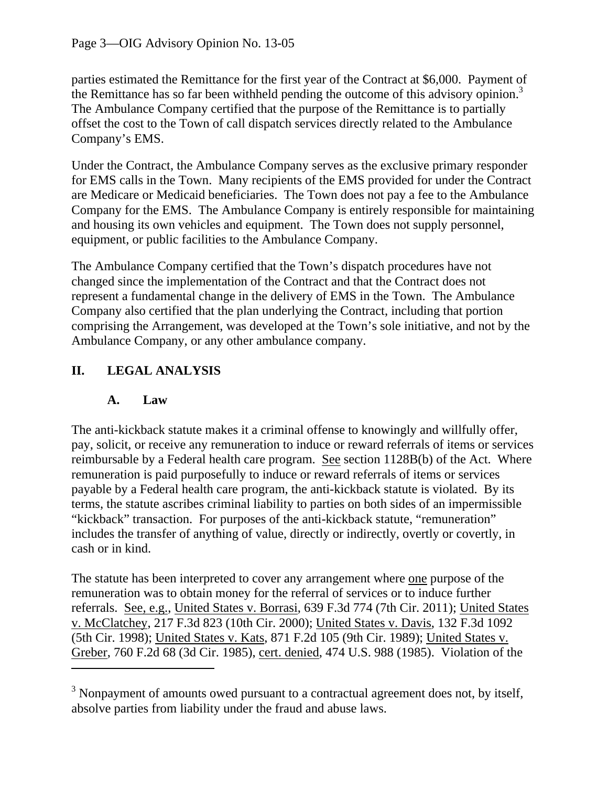the Remittance has so far been withheld pending the outcome of this advisory opinion.<sup>3</sup> parties estimated the Remittance for the first year of the Contract at \$6,000. Payment of The Ambulance Company certified that the purpose of the Remittance is to partially offset the cost to the Town of call dispatch services directly related to the Ambulance Company's EMS.

Under the Contract, the Ambulance Company serves as the exclusive primary responder for EMS calls in the Town. Many recipients of the EMS provided for under the Contract are Medicare or Medicaid beneficiaries. The Town does not pay a fee to the Ambulance Company for the EMS. The Ambulance Company is entirely responsible for maintaining and housing its own vehicles and equipment. The Town does not supply personnel, equipment, or public facilities to the Ambulance Company.

The Ambulance Company certified that the Town's dispatch procedures have not changed since the implementation of the Contract and that the Contract does not represent a fundamental change in the delivery of EMS in the Town. The Ambulance Company also certified that the plan underlying the Contract, including that portion comprising the Arrangement, was developed at the Town's sole initiative, and not by the Ambulance Company, or any other ambulance company.

## **II. LEGAL ANALYSIS**

#### **A. Law**

The anti-kickback statute makes it a criminal offense to knowingly and willfully offer, pay, solicit, or receive any remuneration to induce or reward referrals of items or services reimbursable by a Federal health care program. See section 1128B(b) of the Act. Where remuneration is paid purposefully to induce or reward referrals of items or services payable by a Federal health care program, the anti-kickback statute is violated. By its terms, the statute ascribes criminal liability to parties on both sides of an impermissible "kickback" transaction. For purposes of the anti-kickback statute, "remuneration" includes the transfer of anything of value, directly or indirectly, overtly or covertly, in cash or in kind.

The statute has been interpreted to cover any arrangement where <u>one</u> purpose of the remuneration was to obtain money for the referral of services or to induce further referrals. See, e.g., United States v. Borrasi, 639 F.3d 774 (7th Cir. 2011); United States v. McClatchey, 217 F.3d 823 (10th Cir. 2000); United States v. Davis, 132 F.3d 1092 (5th Cir. 1998); United States v. Kats, 871 F.2d 105 (9th Cir. 1989); United States v. Greber, 760 F.2d 68 (3d Cir. 1985), cert. denied, 474 U.S. 988 (1985). Violation of the

 $3$  Nonpayment of amounts owed pursuant to a contractual agreement does not, by itself, absolve parties from liability under the fraud and abuse laws.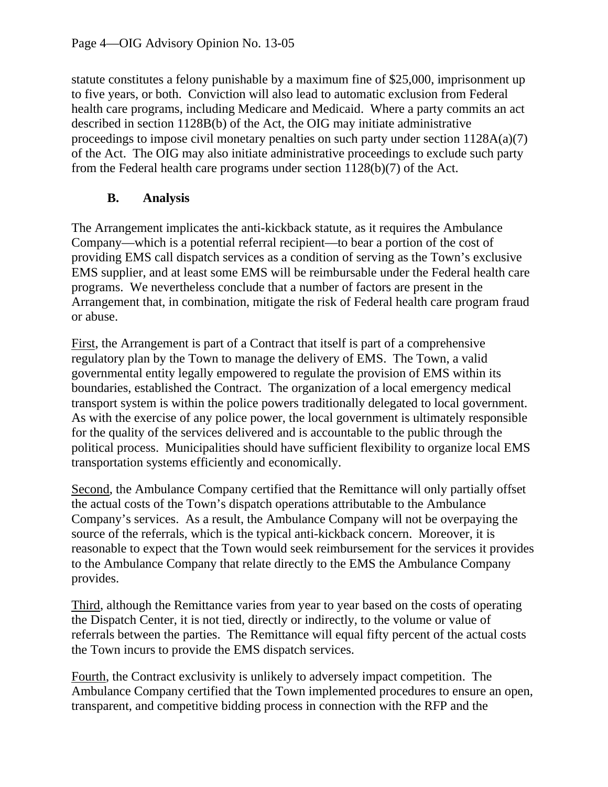statute constitutes a felony punishable by a maximum fine of \$25,000, imprisonment up to five years, or both. Conviction will also lead to automatic exclusion from Federal health care programs, including Medicare and Medicaid. Where a party commits an act described in section 1128B(b) of the Act, the OIG may initiate administrative proceedings to impose civil monetary penalties on such party under section 1128A(a)(7) of the Act. The OIG may also initiate administrative proceedings to exclude such party from the Federal health care programs under section 1128(b)(7) of the Act.

### **B. Analysis**

The Arrangement implicates the anti-kickback statute, as it requires the Ambulance Company—which is a potential referral recipient—to bear a portion of the cost of providing EMS call dispatch services as a condition of serving as the Town's exclusive EMS supplier, and at least some EMS will be reimbursable under the Federal health care programs. We nevertheless conclude that a number of factors are present in the Arrangement that, in combination, mitigate the risk of Federal health care program fraud or abuse.

First, the Arrangement is part of a Contract that itself is part of a comprehensive regulatory plan by the Town to manage the delivery of EMS. The Town, a valid governmental entity legally empowered to regulate the provision of EMS within its boundaries, established the Contract. The organization of a local emergency medical transport system is within the police powers traditionally delegated to local government. As with the exercise of any police power, the local government is ultimately responsible for the quality of the services delivered and is accountable to the public through the political process. Municipalities should have sufficient flexibility to organize local EMS transportation systems efficiently and economically.

Second, the Ambulance Company certified that the Remittance will only partially offset the actual costs of the Town's dispatch operations attributable to the Ambulance Company's services. As a result, the Ambulance Company will not be overpaying the source of the referrals, which is the typical anti-kickback concern. Moreover, it is reasonable to expect that the Town would seek reimbursement for the services it provides to the Ambulance Company that relate directly to the EMS the Ambulance Company provides.

Third, although the Remittance varies from year to year based on the costs of operating the Dispatch Center, it is not tied, directly or indirectly, to the volume or value of referrals between the parties. The Remittance will equal fifty percent of the actual costs the Town incurs to provide the EMS dispatch services.

Fourth, the Contract exclusivity is unlikely to adversely impact competition. The Ambulance Company certified that the Town implemented procedures to ensure an open, transparent, and competitive bidding process in connection with the RFP and the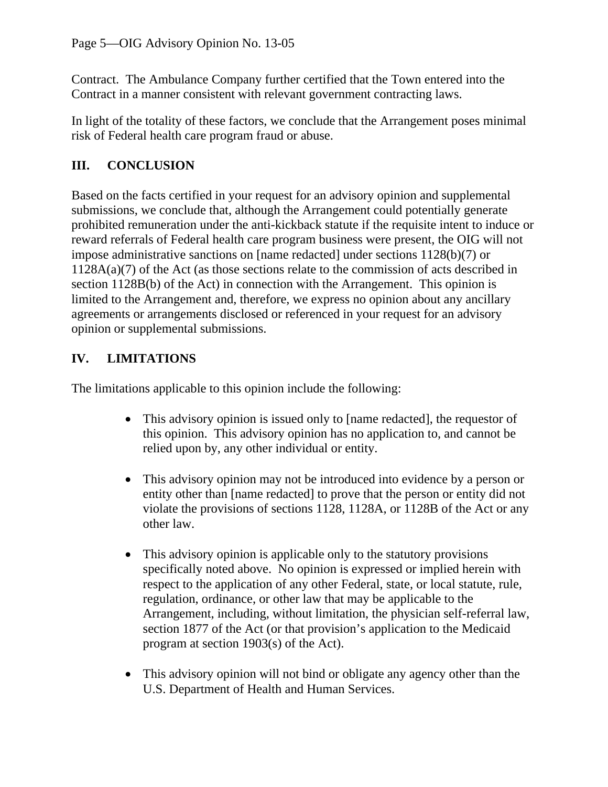Contract. The Ambulance Company further certified that the Town entered into the Contract in a manner consistent with relevant government contracting laws.

In light of the totality of these factors, we conclude that the Arrangement poses minimal risk of Federal health care program fraud or abuse.

## **III. CONCLUSION**

Based on the facts certified in your request for an advisory opinion and supplemental submissions, we conclude that, although the Arrangement could potentially generate prohibited remuneration under the anti-kickback statute if the requisite intent to induce or reward referrals of Federal health care program business were present, the OIG will not impose administrative sanctions on [name redacted] under sections 1128(b)(7) or 1128A(a)(7) of the Act (as those sections relate to the commission of acts described in section 1128B(b) of the Act) in connection with the Arrangement. This opinion is limited to the Arrangement and, therefore, we express no opinion about any ancillary agreements or arrangements disclosed or referenced in your request for an advisory opinion or supplemental submissions.

## **IV. LIMITATIONS**

The limitations applicable to this opinion include the following:

- This advisory opinion is issued only to [name redacted], the requestor of this opinion. This advisory opinion has no application to, and cannot be relied upon by, any other individual or entity.
- This advisory opinion may not be introduced into evidence by a person or entity other than [name redacted] to prove that the person or entity did not violate the provisions of sections 1128, 1128A, or 1128B of the Act or any other law.
- This advisory opinion is applicable only to the statutory provisions specifically noted above. No opinion is expressed or implied herein with respect to the application of any other Federal, state, or local statute, rule, regulation, ordinance, or other law that may be applicable to the Arrangement, including, without limitation, the physician self-referral law, section 1877 of the Act (or that provision's application to the Medicaid program at section 1903(s) of the Act).
- This advisory opinion will not bind or obligate any agency other than the U.S. Department of Health and Human Services.